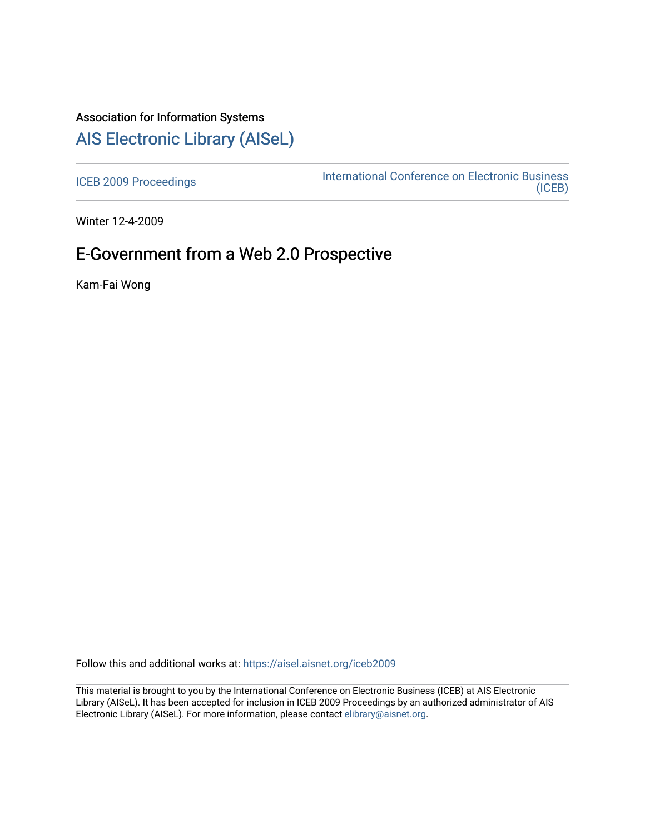# Association for Information Systems

# [AIS Electronic Library \(AISeL\)](https://aisel.aisnet.org/)

[ICEB 2009 Proceedings](https://aisel.aisnet.org/iceb2009) **International Conference on Electronic Business** [\(ICEB\)](https://aisel.aisnet.org/iceb) 

Winter 12-4-2009

# E-Government from a Web 2.0 Prospective

Kam-Fai Wong

Follow this and additional works at: [https://aisel.aisnet.org/iceb2009](https://aisel.aisnet.org/iceb2009?utm_source=aisel.aisnet.org%2Ficeb2009%2F53&utm_medium=PDF&utm_campaign=PDFCoverPages)

This material is brought to you by the International Conference on Electronic Business (ICEB) at AIS Electronic Library (AISeL). It has been accepted for inclusion in ICEB 2009 Proceedings by an authorized administrator of AIS Electronic Library (AISeL). For more information, please contact [elibrary@aisnet.org.](mailto:elibrary@aisnet.org%3E)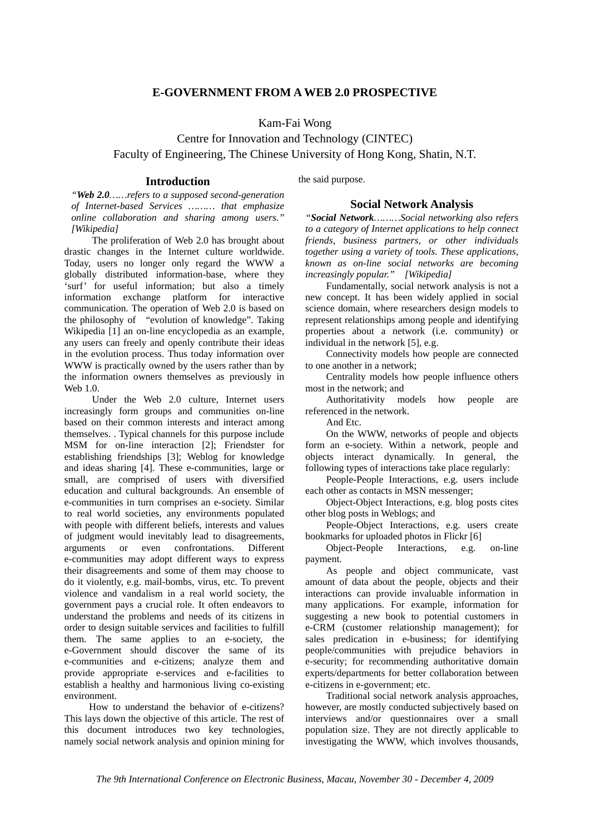## **E-GOVERNMENT FROM A WEB 2.0 PROSPECTIVE**

Kam-Fai Wong

Centre for Innovation and Technology (CINTEC) Faculty of Engineering, The Chinese University of Hong Kong, Shatin, N.T.

### **Introduction**

*"Web 2.0……refers to a supposed second-generation of Internet-based Services ……… that emphasize online collaboration and sharing among users." [Wikipedia]* 

The proliferation of Web 2.0 has brought about drastic changes in the Internet culture worldwide. Today, users no longer only regard the WWW a globally distributed information-base, where they 'surf' for useful information; but also a timely information exchange platform for interactive communication. The operation of Web 2.0 is based on the philosophy of "evolution of knowledge". Taking Wikipedia [1] an on-line encyclopedia as an example, any users can freely and openly contribute their ideas in the evolution process. Thus today information over WWW is practically owned by the users rather than by the information owners themselves as previously in Web 1.0.

Under the Web 2.0 culture, Internet users increasingly form groups and communities on-line based on their common interests and interact among themselves. . Typical channels for this purpose include MSM for on-line interaction [2]; Friendster for establishing friendships [3]; Weblog for knowledge and ideas sharing [4]. These e-communities, large or small, are comprised of users with diversified education and cultural backgrounds. An ensemble of e-communities in turn comprises an e-society. Similar to real world societies, any environments populated with people with different beliefs, interests and values of judgment would inevitably lead to disagreements, arguments or even confrontations. Different e-communities may adopt different ways to express their disagreements and some of them may choose to do it violently, e.g. mail-bombs, virus, etc. To prevent violence and vandalism in a real world society, the government pays a crucial role. It often endeavors to understand the problems and needs of its citizens in order to design suitable services and facilities to fulfill them. The same applies to an e-society, the e-Government should discover the same of its e-communities and e-citizens; analyze them and provide appropriate e-services and e-facilities to establish a healthy and harmonious living co-existing environment.

How to understand the behavior of e-citizens? This lays down the objective of this article. The rest of this document introduces two key technologies, namely social network analysis and opinion mining for the said purpose.

#### **Social Network Analysis**

*"Social Network………Social networking also refers to a category of Internet applications to help connect friends, business partners, or other individuals together using a variety of tools. These applications, known as on-line social networks are becoming increasingly popular." [Wikipedia]* 

Fundamentally, social network analysis is not a new concept. It has been widely applied in social science domain, where researchers design models to represent relationships among people and identifying properties about a network (i.e. community) or individual in the network [5], e.g.

Connectivity models how people are connected to one another in a network;

Centrality models how people influence others most in the network; and

Authoritativity models how people are referenced in the network.

And Etc.

On the WWW, networks of people and objects form an e-society. Within a network, people and objects interact dynamically. In general, the following types of interactions take place regularly:

People-People Interactions, e.g. users include each other as contacts in MSN messenger;

Object-Object Interactions, e.g. blog posts cites other blog posts in Weblogs; and

People-Object Interactions, e.g. users create bookmarks for uploaded photos in Flickr [6]

Object-People Interactions, e.g. on-line payment.

As people and object communicate, vast amount of data about the people, objects and their interactions can provide invaluable information in many applications. For example, information for suggesting a new book to potential customers in e-CRM (customer relationship management); for sales predication in e-business; for identifying people/communities with prejudice behaviors in e-security; for recommending authoritative domain experts/departments for better collaboration between e-citizens in e-government; etc.

Traditional social network analysis approaches, however, are mostly conducted subjectively based on interviews and/or questionnaires over a small population size. They are not directly applicable to investigating the WWW, which involves thousands,